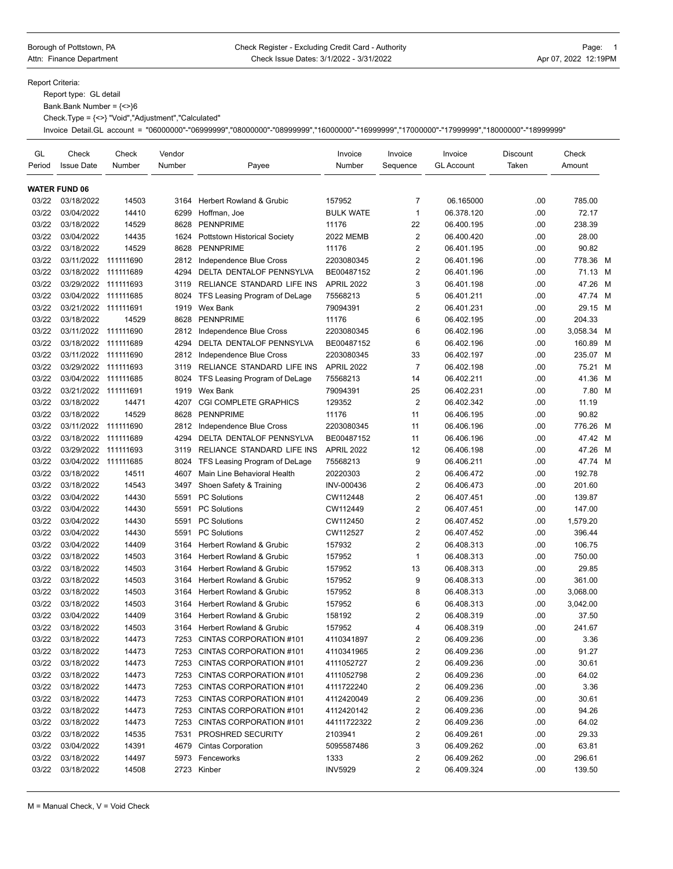Borough of Pottstown, PA **Check Register - Excluding Credit Card - Authority Page: 1** Page: 1 Attn: Finance Department **Check Issue Dates: 3/1/2022 - 3/31/2022** Apr 07, 2022 12:19PM

Report Criteria:

Report type: GL detail

Bank.Bank Number = {<>}6

Check.Type = {<>} "Void","Adjustment","Calculated"

Invoice Detail.GL account = "06000000"-"06999999","08000000"-"08999999","16000000"-"16999999","17000000"-"17999999","18000000"-"18999999"

| GL<br>Period | Check<br><b>Issue Date</b> | Check<br>Number | Vendor<br>Number | Payee                               | Invoice<br>Number | Invoice<br>Sequence     | Invoice<br><b>GL Account</b> | Discount<br>Taken | Check<br>Amount |  |
|--------------|----------------------------|-----------------|------------------|-------------------------------------|-------------------|-------------------------|------------------------------|-------------------|-----------------|--|
|              | <b>WATER FUND 06</b>       |                 |                  |                                     |                   |                         |                              |                   |                 |  |
| 03/22        | 03/18/2022                 | 14503           | 3164             | Herbert Rowland & Grubic            | 157952            | 7                       | 06.165000                    | .00               | 785.00          |  |
| 03/22        | 03/04/2022                 | 14410           | 6299             | Hoffman, Joe                        | <b>BULK WATE</b>  | $\mathbf{1}$            | 06.378.120                   | .00               | 72.17           |  |
| 03/22        | 03/18/2022                 | 14529           | 8628             | <b>PENNPRIME</b>                    | 11176             | 22                      | 06.400.195                   | .00               | 238.39          |  |
| 03/22        | 03/04/2022                 | 14435           | 1624             | <b>Pottstown Historical Society</b> | 2022 MEMB         | $\overline{2}$          | 06.400.420                   | .00               | 28.00           |  |
| 03/22        | 03/18/2022                 | 14529           | 8628             | <b>PENNPRIME</b>                    | 11176             | 2                       | 06.401.195                   | .00               | 90.82           |  |
| 03/22        | 03/11/2022                 | 111111690       | 2812             | Independence Blue Cross             | 2203080345        | $\overline{2}$          | 06.401.196                   | .00               | 778.36 M        |  |
| 03/22        | 03/18/2022                 | 111111689       | 4294             | DELTA DENTALOF PENNSYLVA            | BE00487152        | 2                       | 06.401.196                   | .00               | 71.13 M         |  |
| 03/22        | 03/29/2022 111111693       |                 | 3119             | RELIANCE STANDARD LIFE INS          | <b>APRIL 2022</b> | 3                       | 06.401.198                   | .00               | 47.26 M         |  |
| 03/22        | 03/04/2022 111111685       |                 | 8024             | TFS Leasing Program of DeLage       | 75568213          | 5                       | 06.401.211                   | .00               | 47.74 M         |  |
| 03/22        | 03/21/2022 111111691       |                 | 1919             | Wex Bank                            | 79094391          | 2                       | 06.401.231                   | .00               | 29.15 M         |  |
| 03/22        | 03/18/2022                 | 14529           | 8628             | <b>PENNPRIME</b>                    | 11176             | 6                       | 06.402.195                   | .00               | 204.33          |  |
| 03/22        | 03/11/2022                 | 111111690       | 2812             | Independence Blue Cross             | 2203080345        | 6                       | 06.402.196                   | .00.              | 3,058.34 M      |  |
| 03/22        | 03/18/2022                 | 111111689       | 4294             | DELTA DENTALOF PENNSYLVA            | BE00487152        | 6                       | 06.402.196                   | .00               | 160.89 M        |  |
| 03/22        | 03/11/2022                 | 111111690       | 2812             | Independence Blue Cross             | 2203080345        | 33                      | 06.402.197                   | .00               | 235.07 M        |  |
| 03/22        | 03/29/2022                 | 111111693       | 3119             | RELIANCE STANDARD LIFE INS          | <b>APRIL 2022</b> | $\overline{7}$          | 06.402.198                   | .00               | 75.21 M         |  |
| 03/22        | 03/04/2022 111111685       |                 | 8024             | TFS Leasing Program of DeLage       | 75568213          | 14                      | 06.402.211                   | .00               | 41.36 M         |  |
| 03/22        | 03/21/2022 111111691       |                 | 1919             | Wex Bank                            | 79094391          | 25                      | 06.402.231                   | .00               | 7.80 M          |  |
| 03/22        | 03/18/2022                 | 14471           | 4207             | <b>CGI COMPLETE GRAPHICS</b>        | 129352            | $\overline{2}$          | 06.402.342                   | .00               | 11.19           |  |
| 03/22        | 03/18/2022                 | 14529           | 8628             | <b>PENNPRIME</b>                    | 11176             | 11                      | 06.406.195                   | .00               | 90.82           |  |
| 03/22        | 03/11/2022                 | 111111690       | 2812             | Independence Blue Cross             | 2203080345        | 11                      | 06.406.196                   | .00               | 776.26 M        |  |
| 03/22        | 03/18/2022                 | 111111689       | 4294             | DELTA DENTALOF PENNSYLVA            | BE00487152        | 11                      | 06.406.196                   | .00               | 47.42 M         |  |
| 03/22        | 03/29/2022 111111693       |                 | 3119             | RELIANCE STANDARD LIFE INS          | <b>APRIL 2022</b> | 12                      | 06.406.198                   | .00               | 47.26 M         |  |
| 03/22        | 03/04/2022 111111685       |                 | 8024             | TFS Leasing Program of DeLage       | 75568213          | 9                       | 06.406.211                   | .00               | 47.74 M         |  |
| 03/22        | 03/18/2022                 | 14511           | 4607             | Main Line Behavioral Health         | 20220303          | $\overline{\mathbf{c}}$ | 06.406.472                   | .00               | 192.78          |  |
| 03/22        | 03/18/2022                 | 14543           | 3497             | Shoen Safety & Training             | INV-000436        | 2                       | 06.406.473                   | .00               | 201.60          |  |
| 03/22        | 03/04/2022                 | 14430           | 5591             | <b>PC Solutions</b>                 | CW112448          | 2                       | 06.407.451                   | .00               | 139.87          |  |
| 03/22        | 03/04/2022                 | 14430           | 5591             | <b>PC Solutions</b>                 | CW112449          | 2                       | 06.407.451                   | .00               | 147.00          |  |
| 03/22        | 03/04/2022                 | 14430           | 5591             | <b>PC Solutions</b>                 | CW112450          | $\overline{2}$          | 06.407.452                   | .00.              | 1,579.20        |  |
| 03/22        | 03/04/2022                 | 14430           | 5591             | <b>PC Solutions</b>                 | CW112527          | 2                       | 06.407.452                   | .00.              | 396.44          |  |
| 03/22        | 03/04/2022                 | 14409           | 3164             | <b>Herbert Rowland &amp; Grubic</b> | 157932            | $\overline{2}$          | 06.408.313                   | .00               | 106.75          |  |
| 03/22        | 03/18/2022                 | 14503           | 3164             | <b>Herbert Rowland &amp; Grubic</b> | 157952            | $\mathbf{1}$            | 06.408.313                   | .00               | 750.00          |  |
| 03/22        | 03/18/2022                 | 14503           | 3164             | <b>Herbert Rowland &amp; Grubic</b> | 157952            | 13                      | 06.408.313                   | .00.              | 29.85           |  |
| 03/22        | 03/18/2022                 | 14503           | 3164             | Herbert Rowland & Grubic            | 157952            | 9                       | 06.408.313                   | .00               | 361.00          |  |
| 03/22        | 03/18/2022                 | 14503           | 3164             | Herbert Rowland & Grubic            | 157952            | 8                       | 06.408.313                   | .00.              | 3,068.00        |  |
| 03/22        | 03/18/2022                 | 14503           | 3164             | Herbert Rowland & Grubic            | 157952            | 6                       | 06.408.313                   | .00               | 3,042.00        |  |
| 03/22        | 03/04/2022                 | 14409           | 3164             | Herbert Rowland & Grubic            | 158192            | 2                       | 06.408.319                   | .00               | 37.50           |  |
| 03/22        | 03/18/2022                 | 14503           |                  | 3164 Herbert Rowland & Grubic       | 157952            | 4                       | 06.408.319                   | .00               | 241.67          |  |
| 03/22        | 03/18/2022                 | 14473           | 7253             | CINTAS CORPORATION #101             | 4110341897        | 2                       | 06.409.236                   | .00               | 3.36            |  |
| 03/22        | 03/18/2022                 | 14473           |                  | 7253 CINTAS CORPORATION #101        | 4110341965        | $\overline{\mathbf{c}}$ | 06.409.236                   | .00               | 91.27           |  |
| 03/22        | 03/18/2022                 | 14473           | 7253             | CINTAS CORPORATION #101             | 4111052727        | 2                       | 06.409.236                   | .00               | 30.61           |  |
| 03/22        | 03/18/2022                 | 14473           |                  | 7253 CINTAS CORPORATION #101        | 4111052798        | 2                       | 06.409.236                   | .00               | 64.02           |  |
| 03/22        | 03/18/2022                 | 14473           |                  | 7253 CINTAS CORPORATION #101        | 4111722240        | 2                       | 06.409.236                   | .00               | 3.36            |  |
| 03/22        | 03/18/2022                 | 14473           | 7253             | CINTAS CORPORATION #101             | 4112420049        | 2                       | 06.409.236                   | .00               | 30.61           |  |
| 03/22        | 03/18/2022                 | 14473           |                  | 7253 CINTAS CORPORATION #101        | 4112420142        | 2                       | 06.409.236                   | .00               | 94.26           |  |
| 03/22        | 03/18/2022                 | 14473           | 7253             | CINTAS CORPORATION #101             | 44111722322       | 2                       | 06.409.236                   | .00               | 64.02           |  |
| 03/22        | 03/18/2022                 | 14535           | 7531             | PROSHRED SECURITY                   | 2103941           | 2                       | 06.409.261                   | .00               | 29.33           |  |
| 03/22        | 03/04/2022                 | 14391           |                  | 4679 Cintas Corporation             | 5095587486        | 3                       | 06.409.262                   | .00               | 63.81           |  |
| 03/22        | 03/18/2022                 | 14497           |                  | 5973 Fenceworks                     | 1333              | 2                       | 06.409.262                   | .00               | 296.61          |  |
| 03/22        | 03/18/2022                 | 14508           |                  | 2723 Kinber                         | <b>INV5929</b>    | 2                       | 06.409.324                   | .00               | 139.50          |  |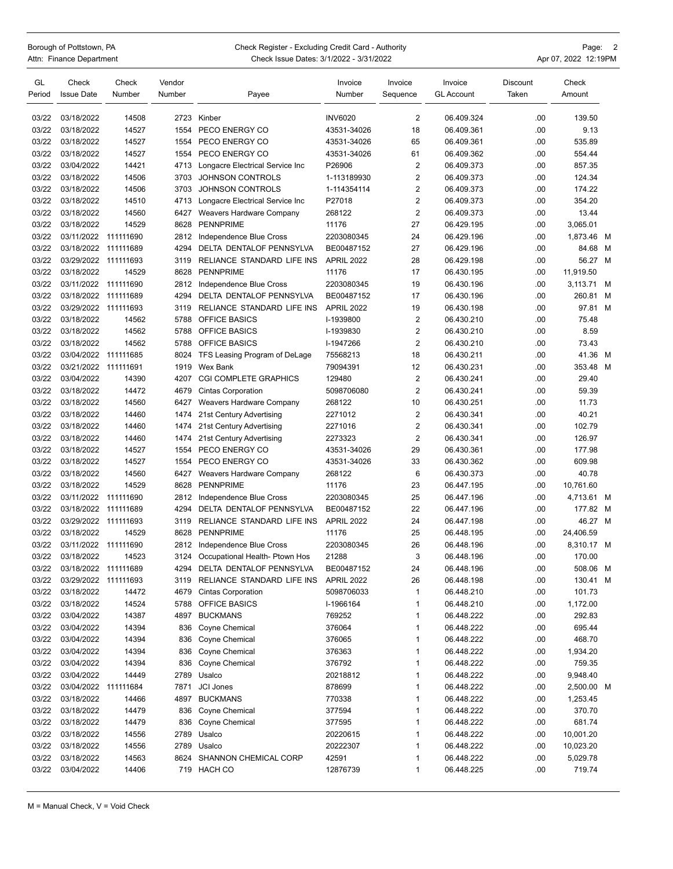# Borough of Pottstown, PA **Check Register - Excluding Credit Card** - Authority **CHO** Page: 2

| <b>DUIUUUII UI FUILSIUWII. FA</b> | Crieck Register - Excluding Credit Card - Additionly | Faye.                |
|-----------------------------------|------------------------------------------------------|----------------------|
| Attn: Finance Department          | Check Issue Dates: 3/1/2022 - 3/31/2022              | Apr 07, 2022 12:19PM |

| GL<br>Period | Check<br><b>Issue Date</b> | Check<br>Number | Vendor<br>Number | Payee                               | Invoice<br>Number | Invoice<br>Sequence     | Invoice<br><b>GL Account</b> | Discount<br>Taken | Check<br>Amount |  |
|--------------|----------------------------|-----------------|------------------|-------------------------------------|-------------------|-------------------------|------------------------------|-------------------|-----------------|--|
|              |                            |                 |                  |                                     |                   |                         |                              |                   |                 |  |
| 03/22        | 03/18/2022                 | 14508           | 2723             | Kinber                              | <b>INV6020</b>    | $\overline{2}$          | 06.409.324                   | .00               | 139.50          |  |
| 03/22        | 03/18/2022                 | 14527           | 1554             | PECO ENERGY CO                      | 43531-34026       | 18                      | 06.409.361                   | .00               | 9.13            |  |
| 03/22        | 03/18/2022                 | 14527           | 1554             | PECO ENERGY CO                      | 43531-34026       | 65                      | 06.409.361                   | .00               | 535.89          |  |
| 03/22        | 03/18/2022                 | 14527           | 1554             | PECO ENERGY CO                      | 43531-34026       | 61                      | 06.409.362                   | .00               | 554.44          |  |
| 03/22        | 03/04/2022                 | 14421           | 4713             | Longacre Electrical Service Inc     | P26906            | $\overline{2}$          | 06.409.373                   | .00               | 857.35          |  |
| 03/22        | 03/18/2022                 | 14506           | 3703             | <b>JOHNSON CONTROLS</b>             | 1-113189930       | $\overline{2}$          | 06.409.373                   | .00               | 124.34          |  |
| 03/22        | 03/18/2022                 | 14506           | 3703             | JOHNSON CONTROLS                    | 1-114354114       | $\overline{2}$          | 06.409.373                   | .00               | 174.22          |  |
| 03/22        | 03/18/2022                 | 14510           | 4713             | Longacre Electrical Service Inc     | P27018            | $\overline{2}$          | 06.409.373                   | .00               | 354.20          |  |
| 03/22        | 03/18/2022                 | 14560           | 6427             | Weavers Hardware Company            | 268122            | $\overline{2}$          | 06.409.373                   | .00               | 13.44           |  |
| 03/22        | 03/18/2022                 | 14529           | 8628             | <b>PENNPRIME</b>                    | 11176             | 27                      | 06.429.195                   | .00               | 3,065.01        |  |
| 03/22        | 03/11/2022                 | 111111690       | 2812             | Independence Blue Cross             | 2203080345        | 24                      | 06.429.196                   | .00               | 1,873.46 M      |  |
| 03/22        | 03/18/2022 111111689       |                 | 4294             | DELTA DENTALOF PENNSYLVA            | BE00487152        | 27                      | 06.429.196                   | .00               | 84.68 M         |  |
| 03/22        | 03/29/2022 111111693       |                 | 3119             | RELIANCE STANDARD LIFE INS          | <b>APRIL 2022</b> | 28                      | 06.429.198                   | .00               | 56.27 M         |  |
| 03/22        | 03/18/2022                 | 14529           | 8628             | <b>PENNPRIME</b>                    | 11176             | 17                      | 06.430.195                   | .00               | 11,919.50       |  |
| 03/22        | 03/11/2022                 | 111111690       | 2812             | Independence Blue Cross             | 2203080345        | 19                      | 06.430.196                   | .00               | 3,113.71 M      |  |
| 03/22        | 03/18/2022 111111689       |                 | 4294             | DELTA DENTALOF PENNSYLVA            | BE00487152        | 17                      | 06.430.196                   | .00               | 260.81 M        |  |
| 03/22        | 03/29/2022 111111693       |                 | 3119             | RELIANCE STANDARD LIFE INS          | <b>APRIL 2022</b> | 19                      | 06.430.198                   | .00               | 97.81 M         |  |
| 03/22        | 03/18/2022                 | 14562           | 5788             | <b>OFFICE BASICS</b>                | I-1939800         | $\overline{\mathbf{c}}$ | 06.430.210                   | .00               | 75.48           |  |
| 03/22        | 03/18/2022                 | 14562           | 5788             | <b>OFFICE BASICS</b>                | I-1939830         | $\overline{2}$          | 06.430.210                   | .00               | 8.59            |  |
| 03/22        | 03/18/2022                 | 14562           | 5788             | OFFICE BASICS                       | I-1947266         | $\overline{2}$          | 06.430.210                   | .00               | 73.43           |  |
| 03/22        | 03/04/2022 111111685       |                 | 8024             | TFS Leasing Program of DeLage       | 75568213          | 18                      | 06.430.211                   | .00               | 41.36 M         |  |
| 03/22        | 03/21/2022 111111691       |                 | 1919             | <b>Wex Bank</b>                     | 79094391          | 12                      | 06.430.231                   | .00               | 353.48 M        |  |
| 03/22        | 03/04/2022                 | 14390           | 4207             | <b>CGI COMPLETE GRAPHICS</b>        | 129480            | $\sqrt{2}$              | 06.430.241                   | .00               | 29.40           |  |
| 03/22        | 03/18/2022                 | 14472           | 4679             | <b>Cintas Corporation</b>           | 5098706080        | $\overline{2}$          | 06.430.241                   | .00               | 59.39           |  |
| 03/22        | 03/18/2022                 | 14560           | 6427             | Weavers Hardware Company            | 268122            | 10                      | 06.430.251                   | .00               | 11.73           |  |
| 03/22        | 03/18/2022                 | 14460           | 1474             | 21st Century Advertising            | 2271012           | $\overline{2}$          | 06.430.341                   | .00               | 40.21           |  |
| 03/22        | 03/18/2022                 | 14460           | 1474             | 21st Century Advertising            | 2271016           | 2                       | 06.430.341                   | .00               | 102.79          |  |
| 03/22        | 03/18/2022                 | 14460           | 1474             | 21st Century Advertising            | 2273323           | $\overline{2}$          | 06.430.341                   | .00               | 126.97          |  |
| 03/22        | 03/18/2022                 | 14527           | 1554             | PECO ENERGY CO                      | 43531-34026       | 29                      | 06.430.361                   | .00               | 177.98          |  |
| 03/22        | 03/18/2022                 | 14527           | 1554             | PECO ENERGY CO                      | 43531-34026       | 33                      | 06.430.362                   | .00               | 609.98          |  |
| 03/22        | 03/18/2022                 | 14560           | 6427             | Weavers Hardware Company            | 268122            | 6                       | 06.430.373                   | .00               | 40.78           |  |
| 03/22        | 03/18/2022                 | 14529           | 8628             | <b>PENNPRIME</b>                    | 11176             | 23                      | 06.447.195                   | .00               | 10,761.60       |  |
| 03/22        | 03/11/2022                 | 111111690       | 2812             | Independence Blue Cross             | 2203080345        | 25                      | 06.447.196                   | .00               | 4,713.61 M      |  |
| 03/22        | 03/18/2022                 | 111111689       | 4294             | DELTA DENTALOF PENNSYLVA            | BE00487152        | 22                      | 06.447.196                   | .00               | 177.82 M        |  |
| 03/22        | 03/29/2022 111111693       |                 | 3119             | RELIANCE STANDARD LIFE INS          | <b>APRIL 2022</b> | 24                      | 06.447.198                   | .00               | 46.27 M         |  |
| 03/22        | 03/18/2022                 | 14529           | 8628             | <b>PENNPRIME</b>                    | 11176             | 25                      | 06.448.195                   | .00               | 24,406.59       |  |
| 03/22        | 03/11/2022                 | 111111690       | 2812             | Independence Blue Cross             | 2203080345        | 26                      | 06.448.196                   | .00               | 8,310.17 M      |  |
| 03/22        | 03/18/2022                 | 14523           |                  | 3124 Occupational Health- Ptown Hos | 21288             | 3                       | 06.448.196                   | .00               | 170.00          |  |
| 03/22        | 03/18/2022 111111689       |                 |                  | 4294 DELTA DENTALOF PENNSYLVA       | BE00487152        | 24                      | 06.448.196                   | .00               | 508.06 M        |  |
| 03/22        | 03/29/2022 111111693       |                 | 3119             | RELIANCE STANDARD LIFE INS          | <b>APRIL 2022</b> | 26                      | 06.448.198                   | .00               | 130.41 M        |  |
| 03/22        | 03/18/2022                 | 14472           | 4679             | <b>Cintas Corporation</b>           | 5098706033        | 1                       | 06.448.210                   | .00               | 101.73          |  |
| 03/22        | 03/18/2022                 | 14524           | 5788             | OFFICE BASICS                       | I-1966164         | 1                       | 06.448.210                   | .00               | 1,172.00        |  |
| 03/22        | 03/04/2022                 | 14387           | 4897             | <b>BUCKMANS</b>                     | 769252            | 1                       | 06.448.222                   | .00               | 292.83          |  |
| 03/22        | 03/04/2022                 | 14394           | 836              | Coyne Chemical                      | 376064            | 1                       | 06.448.222                   | .00               | 695.44          |  |
| 03/22        | 03/04/2022                 | 14394           | 836              | Coyne Chemical                      | 376065            | 1                       | 06.448.222                   | .00               | 468.70          |  |
| 03/22        | 03/04/2022                 | 14394           | 836              | Coyne Chemical                      | 376363            | 1                       | 06.448.222                   | .00               | 1,934.20        |  |
| 03/22        | 03/04/2022                 | 14394           | 836              | Coyne Chemical                      | 376792            | 1                       | 06.448.222                   | .00               | 759.35          |  |
| 03/22        | 03/04/2022                 | 14449           | 2789             | Usalco                              | 20218812          | 1                       | 06.448.222                   | .00               | 9,948.40        |  |
| 03/22        | 03/04/2022 111111684       |                 | 7871             | <b>JCI Jones</b>                    | 878699            | 1                       | 06.448.222                   | .00               | 2,500.00 M      |  |
| 03/22        | 03/18/2022                 | 14466           | 4897             | <b>BUCKMANS</b>                     | 770338            | 1                       | 06.448.222                   | .00               | 1,253.45        |  |
| 03/22        | 03/18/2022                 | 14479           | 836              | Coyne Chemical                      | 377594            | 1                       | 06.448.222                   | .00               | 370.70          |  |
| 03/22        | 03/18/2022                 | 14479           | 836              | Coyne Chemical                      | 377595            | 1                       | 06.448.222                   | .00               | 681.74          |  |
| 03/22        | 03/18/2022                 | 14556           | 2789             | Usalco                              | 20220615          | 1                       | 06.448.222                   | .00               | 10,001.20       |  |
| 03/22        | 03/18/2022                 | 14556           | 2789             | Usalco                              | 20222307          | 1                       | 06.448.222                   | .00               | 10,023.20       |  |
| 03/22        | 03/18/2022                 | 14563           | 8624             | SHANNON CHEMICAL CORP               | 42591             | 1                       | 06.448.222                   | .00               | 5,029.78        |  |
| 03/22        | 03/04/2022                 | 14406           |                  | 719 HACH CO                         | 12876739          | 1                       | 06.448.225                   | .00               | 719.74          |  |
|              |                            |                 |                  |                                     |                   |                         |                              |                   |                 |  |

M = Manual Check, V = Void Check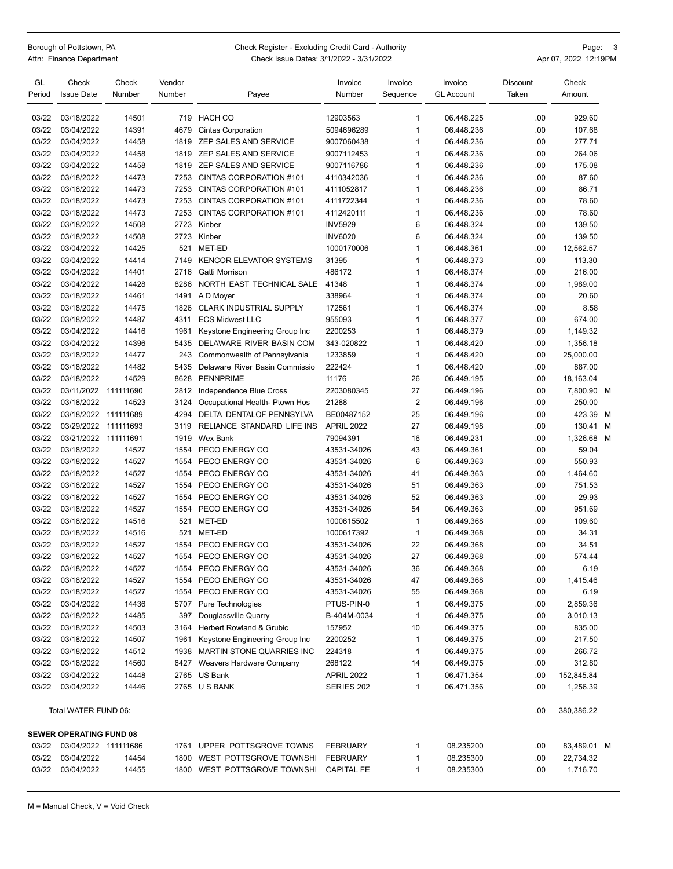## Borough of Pottstown, PA Check Register - Excluding Credit Card - Authority Page: 3 Attn: Finance Department Check Issue Dates: 3/1/2022 - 3/31/2022

| GL<br>Period | Check<br><b>Issue Date</b>     | Check<br>Number | Vendor<br>Number | Payee                          | Invoice<br>Number | Invoice<br>Sequence | Invoice<br><b>GL Account</b> | Discount<br>Taken | Check<br>Amount |  |
|--------------|--------------------------------|-----------------|------------------|--------------------------------|-------------------|---------------------|------------------------------|-------------------|-----------------|--|
|              |                                |                 |                  |                                |                   |                     |                              |                   |                 |  |
| 03/22        | 03/18/2022                     | 14501           | 719              | HACH CO                        | 12903563          | $\mathbf{1}$        | 06.448.225                   | .00.              | 929.60          |  |
| 03/22        | 03/04/2022                     | 14391           | 4679             | <b>Cintas Corporation</b>      | 5094696289        | 1                   | 06.448.236                   | .00.              | 107.68          |  |
| 03/22        | 03/04/2022                     | 14458           | 1819             | ZEP SALES AND SERVICE          | 9007060438        | 1                   | 06.448.236                   | .00.              | 277.71          |  |
| 03/22        | 03/04/2022                     | 14458           | 1819             | ZEP SALES AND SERVICE          | 9007112453        | $\mathbf{1}$        | 06.448.236                   | .00.              | 264.06          |  |
| 03/22        | 03/04/2022                     | 14458           | 1819             | ZEP SALES AND SERVICE          | 9007116786        | $\mathbf{1}$        | 06.448.236                   | .00               | 175.08          |  |
| 03/22        | 03/18/2022                     | 14473           | 7253             | CINTAS CORPORATION #101        | 4110342036        | $\mathbf{1}$        | 06.448.236                   | .00               | 87.60           |  |
| 03/22        | 03/18/2022                     | 14473           | 7253             | CINTAS CORPORATION #101        | 4111052817        | 1                   | 06.448.236                   | .00.              | 86.71           |  |
| 03/22        | 03/18/2022                     | 14473           | 7253             | CINTAS CORPORATION #101        | 4111722344        | 1                   | 06.448.236                   | .00.              | 78.60           |  |
| 03/22        | 03/18/2022                     | 14473           | 7253             | CINTAS CORPORATION #101        | 4112420111        | $\mathbf{1}$        | 06.448.236                   | .00.              | 78.60           |  |
| 03/22        | 03/18/2022                     | 14508           | 2723             | Kinber                         | <b>INV5929</b>    | 6                   | 06.448.324                   | .00.              | 139.50          |  |
| 03/22        | 03/18/2022                     | 14508           | 2723             | Kinber                         | <b>INV6020</b>    | 6                   | 06.448.324                   | .00.              | 139.50          |  |
| 03/22        | 03/04/2022                     | 14425           | 521              | MET-ED                         | 1000170006        | 1                   | 06.448.361                   | .00.              | 12,562.57       |  |
| 03/22        | 03/04/2022                     | 14414           | 7149             | <b>KENCOR ELEVATOR SYSTEMS</b> | 31395             | $\mathbf{1}$        | 06.448.373                   | .00.              | 113.30          |  |
| 03/22        | 03/04/2022                     | 14401           | 2716             | Gatti Morrison                 | 486172            | 1                   | 06.448.374                   | .00.              | 216.00          |  |
| 03/22        | 03/04/2022                     | 14428           | 8286             | NORTH EAST TECHNICAL SALE      | 41348             | $\mathbf{1}$        | 06.448.374                   | .00.              | 1,989.00        |  |
| 03/22        | 03/18/2022                     | 14461           | 1491             | A D Moyer                      | 338964            | $\mathbf{1}$        | 06.448.374                   | .00               | 20.60           |  |
| 03/22        | 03/18/2022                     | 14475           | 1826             | <b>CLARK INDUSTRIAL SUPPLY</b> | 172561            | 1                   | 06.448.374                   | .00.              | 8.58            |  |
| 03/22        | 03/18/2022                     | 14487           | 4311             | <b>ECS Midwest LLC</b>         | 955093            | 1                   | 06.448.377                   | .00.              | 674.00          |  |
| 03/22        | 03/04/2022                     | 14416           | 1961             | Keystone Engineering Group Inc | 2200253           | 1                   | 06.448.379                   | .00.              | 1,149.32        |  |
| 03/22        | 03/04/2022                     | 14396           | 5435             | DELAWARE RIVER BASIN COM       | 343-020822        | $\mathbf{1}$        | 06.448.420                   | .00.              | 1,356.18        |  |
| 03/22        | 03/18/2022                     | 14477           | 243              | Commonwealth of Pennsylvania   | 1233859           | $\mathbf{1}$        | 06.448.420                   | .00.              | 25,000.00       |  |
| 03/22        | 03/18/2022                     | 14482           | 5435             | Delaware River Basin Commissio | 222424            | $\mathbf{1}$        | 06.448.420                   | .00.              | 887.00          |  |
| 03/22        | 03/18/2022                     | 14529           | 8628             | <b>PENNPRIME</b>               | 11176             | 26                  | 06.449.195                   | .00.              | 18,163.04       |  |
| 03/22        | 03/11/2022                     | 111111690       | 2812             | Independence Blue Cross        | 2203080345        | 27                  | 06.449.196                   | .00.              | 7,800.90 M      |  |
| 03/22        | 03/18/2022                     | 14523           | 3124             | Occupational Health- Ptown Hos | 21288             | $\overline{2}$      | 06.449.196                   | .00.              | 250.00          |  |
| 03/22        | 03/18/2022 111111689           |                 | 4294             | DELTA DENTALOF PENNSYLVA       | BE00487152        | 25                  | 06.449.196                   | .00.              | 423.39 M        |  |
| 03/22        | 03/29/2022 111111693           |                 | 3119             | RELIANCE STANDARD LIFE INS     | <b>APRIL 2022</b> | 27                  | 06.449.198                   | .00.              | 130.41 M        |  |
| 03/22        | 03/21/2022 111111691           |                 | 1919             | Wex Bank                       | 79094391          | 16                  | 06.449.231                   | .00               | 1,326.68 M      |  |
| 03/22        | 03/18/2022                     | 14527           | 1554             | PECO ENERGY CO                 | 43531-34026       | 43                  | 06.449.361                   | .00.              | 59.04           |  |
| 03/22        | 03/18/2022                     | 14527           | 1554             | PECO ENERGY CO                 | 43531-34026       | 6                   | 06.449.363                   | .00.              | 550.93          |  |
| 03/22        | 03/18/2022                     | 14527           | 1554             | PECO ENERGY CO                 | 43531-34026       | 41                  | 06.449.363                   | .00.              | 1,464.60        |  |
| 03/22        | 03/18/2022                     | 14527           | 1554             | PECO ENERGY CO                 | 43531-34026       | 51                  | 06.449.363                   | .00.              | 751.53          |  |
| 03/22        | 03/18/2022                     | 14527           | 1554             | PECO ENERGY CO                 | 43531-34026       | 52                  | 06.449.363                   | .00               | 29.93           |  |
| 03/22        | 03/18/2022                     | 14527           | 1554             | PECO ENERGY CO                 | 43531-34026       | 54                  | 06.449.363                   | .00.              | 951.69          |  |
| 03/22        | 03/18/2022                     | 14516           | 521              | MET-ED                         | 1000615502        | $\mathbf{1}$        | 06.449.368                   | .00.              | 109.60          |  |
| 03/22        | 03/18/2022                     | 14516           | 521              | MET-ED                         | 1000617392        | $\mathbf{1}$        | 06.449.368                   | .00.              | 34.31           |  |
| 03/22        | 03/18/2022                     | 14527           | 1554             | PECO ENERGY CO                 | 43531-34026       | 22                  | 06.449.368                   | .00               | 34.51           |  |
| 03/22        | 03/18/2022                     | 14527           | 1554             | PECO ENERGY CO                 | 43531-34026       | 27                  |                              |                   |                 |  |
| 03/22        | 03/18/2022                     | 14527           |                  | 1554 PECO ENERGY CO            | 43531-34026       | 36                  | 06.449.368<br>06.449.368     | .00.<br>.00       | 574.44<br>6.19  |  |
|              | 03/18/2022                     |                 |                  | 1554 PECO ENERGY CO            |                   |                     |                              |                   |                 |  |
| 03/22        |                                | 14527           |                  |                                | 43531-34026       | 47                  | 06.449.368                   | .00               | 1,415.46        |  |
| 03/22        | 03/18/2022                     | 14527           |                  | 1554 PECO ENERGY CO            | 43531-34026       | 55                  | 06.449.368                   | .00               | 6.19            |  |
| 03/22        | 03/04/2022                     | 14436           |                  | 5707 Pure Technologies         | PTUS-PIN-0        | 1                   | 06.449.375                   | .00               | 2,859.36        |  |
| 03/22        | 03/18/2022                     | 14485           | 397              | Douglassville Quarry           | B-404M-0034       | $\mathbf{1}$        | 06.449.375                   | .00               | 3,010.13        |  |
| 03/22        | 03/18/2022                     | 14503           | 3164             | Herbert Rowland & Grubic       | 157952            | 10                  | 06.449.375                   | .00               | 835.00          |  |
| 03/22        | 03/18/2022                     | 14507           | 1961             | Keystone Engineering Group Inc | 2200252           | $\mathbf{1}$        | 06.449.375                   | .00               | 217.50          |  |
| 03/22        | 03/18/2022                     | 14512           | 1938             | MARTIN STONE QUARRIES INC      | 224318            | $\mathbf{1}$        | 06.449.375                   | .00               | 266.72          |  |
| 03/22        | 03/18/2022                     | 14560           |                  | 6427 Weavers Hardware Company  | 268122            | 14                  | 06.449.375                   | .00               | 312.80          |  |
| 03/22        | 03/04/2022                     | 14448           |                  | 2765 US Bank                   | <b>APRIL 2022</b> | $\mathbf{1}$        | 06.471.354                   | .00               | 152,845.84      |  |
| 03/22        | 03/04/2022                     | 14446           |                  | 2765 USBANK                    | SERIES 202        | 1                   | 06.471.356                   | .00.              | 1,256.39        |  |
|              | Total WATER FUND 06:           |                 |                  |                                |                   |                     |                              | .00               | 380,386.22      |  |
|              | <b>SEWER OPERATING FUND 08</b> |                 |                  |                                |                   |                     |                              |                   |                 |  |
| 03/22        | 03/04/2022 111111686           |                 |                  | 1761 UPPER POTTSGROVE TOWNS    | <b>FEBRUARY</b>   | 1                   | 08.235200                    | .00               | 83,489.01 M     |  |
| 03/22        | 03/04/2022                     | 14454           | 1800             | WEST POTTSGROVE TOWNSHI        | <b>FEBRUARY</b>   | 1                   | 08.235300                    | .00               | 22,734.32       |  |
| 03/22        | 03/04/2022                     | 14455           |                  | 1800 WEST POTTSGROVE TOWNSHI   | <b>CAPITAL FE</b> | 1                   | 08.235300                    | .00               | 1,716.70        |  |
|              |                                |                 |                  |                                |                   |                     |                              |                   |                 |  |

M = Manual Check, V = Void Check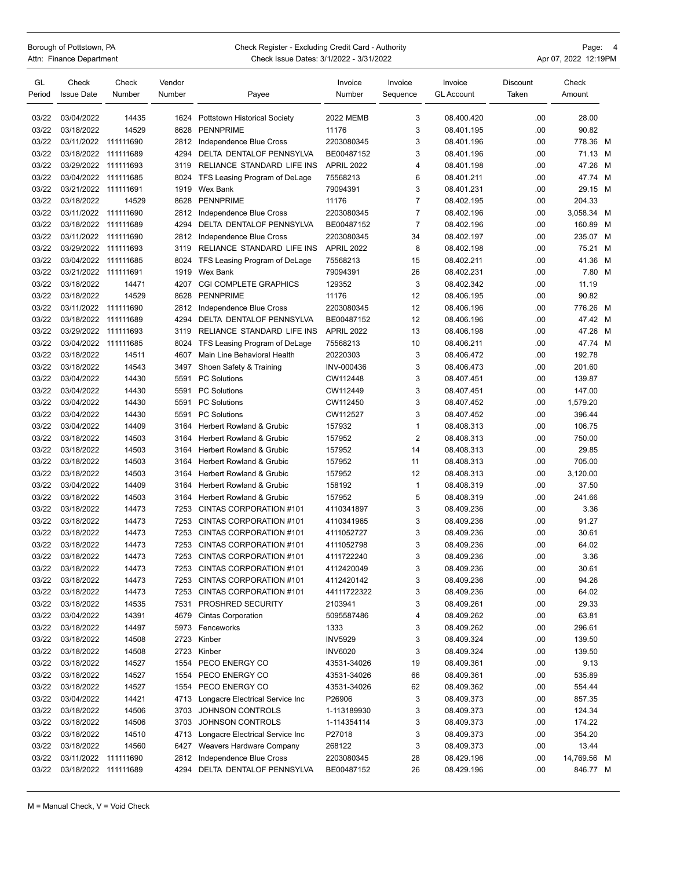## Borough of Pottstown, PA **Check Register - Excluding Credit Card** - Authority **CHO Page:** 4 Attn: Finance Department **Check Issue Dates: 3/1/2022 - 3/31/2022** Apr 07, 2022 12:19PM

| GL<br>Period | Check<br><b>Issue Date</b> | Check<br>Number | Vendor<br>Number | Payee                                | Invoice<br>Number | Invoice<br>Sequence | Invoice<br><b>GL Account</b> | <b>Discount</b><br>Taken | Check<br>Amount |   |
|--------------|----------------------------|-----------------|------------------|--------------------------------------|-------------------|---------------------|------------------------------|--------------------------|-----------------|---|
| 03/22        | 03/04/2022                 | 14435           | 1624             | <b>Pottstown Historical Society</b>  | <b>2022 MEMB</b>  | 3                   | 08.400.420                   | .00                      | 28.00           |   |
| 03/22        | 03/18/2022                 | 14529           | 8628             | <b>PENNPRIME</b>                     | 11176             | 3                   | 08.401.195                   | .00                      | 90.82           |   |
| 03/22        | 03/11/2022                 | 111111690       | 2812             | Independence Blue Cross              | 2203080345        | 3                   | 08.401.196                   | .00                      | 778.36 M        |   |
| 03/22        | 03/18/2022 111111689       |                 | 4294             | DELTA DENTALOF PENNSYLVA             | BE00487152        | 3                   | 08.401.196                   | .00                      | 71.13 M         |   |
| 03/22        | 03/29/2022 111111693       |                 | 3119             | RELIANCE STANDARD LIFE INS           | <b>APRIL 2022</b> | 4                   | 08.401.198                   | .00                      | 47.26           | M |
| 03/22        | 03/04/2022 111111685       |                 | 8024             | TFS Leasing Program of DeLage        | 75568213          | 6                   | 08.401.211                   | .00                      | 47.74 M         |   |
| 03/22        | 03/21/2022 111111691       |                 | 1919             | Wex Bank                             | 79094391          | 3                   | 08.401.231                   | .00                      | 29.15 M         |   |
| 03/22        | 03/18/2022                 | 14529           | 8628             | <b>PENNPRIME</b>                     | 11176             | $\overline{7}$      | 08.402.195                   | .00                      | 204.33          |   |
| 03/22        | 03/11/2022 111111690       |                 | 2812             | Independence Blue Cross              | 2203080345        | $\overline{7}$      | 08.402.196                   | .00                      | 3,058.34 M      |   |
| 03/22        | 03/18/2022 111111689       |                 | 4294             | DELTA DENTALOF PENNSYLVA             | BE00487152        | $\overline{7}$      | 08.402.196                   | .00                      | 160.89          | M |
| 03/22        | 03/11/2022 111111690       |                 | 2812             | Independence Blue Cross              | 2203080345        | 34                  | 08.402.197                   | .00                      | 235.07 M        |   |
| 03/22        | 03/29/2022 111111693       |                 | 3119             | RELIANCE STANDARD LIFE INS           | <b>APRIL 2022</b> | 8                   | 08.402.198                   | .00                      | 75.21 M         |   |
| 03/22        | 03/04/2022 111111685       |                 | 8024             | TFS Leasing Program of DeLage        | 75568213          | 15                  | 08.402.211                   | .00                      | 41.36           | M |
| 03/22        | 03/21/2022 111111691       |                 | 1919             | Wex Bank                             | 79094391          | 26                  | 08.402.231                   | .00                      | 7.80 M          |   |
| 03/22        | 03/18/2022                 | 14471           | 4207             | <b>CGI COMPLETE GRAPHICS</b>         | 129352            | 3                   | 08.402.342                   | .00                      | 11.19           |   |
| 03/22        | 03/18/2022                 | 14529           | 8628             | <b>PENNPRIME</b>                     | 11176             | 12                  | 08.406.195                   | .00                      | 90.82           |   |
| 03/22        | 03/11/2022                 | 111111690       | 2812             | Independence Blue Cross              | 2203080345        | 12                  | 08.406.196                   | .00                      | 776.26 M        |   |
| 03/22        | 03/18/2022 111111689       |                 | 4294             | DELTA DENTALOF PENNSYLVA             | BE00487152        | 12                  | 08.406.196                   | .00                      | 47.42 M         |   |
| 03/22        | 03/29/2022 111111693       |                 | 3119             | RELIANCE STANDARD LIFE INS           | <b>APRIL 2022</b> | 13                  | 08.406.198                   | .00                      | 47.26           | M |
| 03/22        | 03/04/2022 111111685       |                 | 8024             | TFS Leasing Program of DeLage        | 75568213          | 10                  | 08.406.211                   | .00                      | 47.74 M         |   |
| 03/22        | 03/18/2022                 | 14511           | 4607             | Main Line Behavioral Health          | 20220303          | 3                   | 08.406.472                   | .00                      | 192.78          |   |
| 03/22        | 03/18/2022                 | 14543           | 3497             | Shoen Safety & Training              | INV-000436        | 3                   | 08.406.473                   | .00                      | 201.60          |   |
| 03/22        | 03/04/2022                 | 14430           | 5591             | <b>PC Solutions</b>                  | CW112448          | 3                   | 08.407.451                   | .00                      | 139.87          |   |
| 03/22        | 03/04/2022                 | 14430           | 5591             | <b>PC Solutions</b>                  | CW112449          | 3                   | 08.407.451                   | .00                      | 147.00          |   |
| 03/22        | 03/04/2022                 | 14430           | 5591             | <b>PC Solutions</b>                  | CW112450          | 3                   | 08.407.452                   | .00                      | 1,579.20        |   |
| 03/22        | 03/04/2022                 | 14430           | 5591             | <b>PC Solutions</b>                  | CW112527          | 3                   | 08.407.452                   | .00                      | 396.44          |   |
| 03/22        | 03/04/2022                 | 14409           | 3164             | Herbert Rowland & Grubic             | 157932            | 1                   | 08.408.313                   | .00                      | 106.75          |   |
| 03/22        | 03/18/2022                 | 14503           | 3164             | Herbert Rowland & Grubic             | 157952            | $\overline{2}$      | 08.408.313                   | .00                      | 750.00          |   |
| 03/22        | 03/18/2022                 | 14503           | 3164             | Herbert Rowland & Grubic             | 157952            | 14                  | 08.408.313                   | .00                      | 29.85           |   |
| 03/22        | 03/18/2022                 | 14503           | 3164             | <b>Herbert Rowland &amp; Grubic</b>  | 157952            | 11                  | 08.408.313                   | .00                      | 705.00          |   |
| 03/22        | 03/18/2022                 | 14503           | 3164             | <b>Herbert Rowland &amp; Grubic</b>  | 157952            | 12                  | 08.408.313                   | .00                      | 3,120.00        |   |
| 03/22        | 03/04/2022                 | 14409           | 3164             | Herbert Rowland & Grubic             | 158192            | $\mathbf{1}$        | 08.408.319                   | .00                      | 37.50           |   |
| 03/22        | 03/18/2022                 | 14503           | 3164             | Herbert Rowland & Grubic             | 157952            | 5                   | 08.408.319                   | .00                      | 241.66          |   |
| 03/22        | 03/18/2022                 | 14473           | 7253             | CINTAS CORPORATION #101              | 4110341897        | 3                   | 08.409.236                   | .00                      | 3.36            |   |
| 03/22        | 03/18/2022                 | 14473           | 7253             | CINTAS CORPORATION #101              | 4110341965        | 3                   | 08.409.236                   | .00                      | 91.27           |   |
| 03/22        | 03/18/2022                 | 14473           | 7253             | CINTAS CORPORATION #101              | 4111052727        | 3                   | 08.409.236                   | .00                      | 30.61           |   |
| 03/22        | 03/18/2022                 | 14473           | 7253             | CINTAS CORPORATION #101              | 4111052798        | 3                   | 08.409.236                   | .00                      | 64.02           |   |
| 03/22        | 03/18/2022                 | 14473           | 7253             | CINTAS CORPORATION #101              | 4111722240        | 3                   | 08.409.236                   | .00                      | 3.36            |   |
| 03/22        | 03/18/2022                 | 14473           | 7253             | CINTAS CORPORATION #101              | 4112420049        | 3                   | 08.409.236                   | .00                      | 30.61           |   |
| 03/22        | 03/18/2022                 | 14473           | 7253             | CINTAS CORPORATION #101              | 4112420142        | 3                   | 08.409.236                   | .00                      | 94.26           |   |
| 03/22        | 03/18/2022                 | 14473           | 7253             | CINTAS CORPORATION #101              | 44111722322       | 3                   | 08.409.236                   | .00                      | 64.02           |   |
| 03/22        | 03/18/2022                 | 14535           | 7531             | PROSHRED SECURITY                    | 2103941           | 3                   | 08.409.261                   | .00                      | 29.33           |   |
| 03/22        | 03/04/2022                 | 14391           | 4679             | <b>Cintas Corporation</b>            | 5095587486        | 4                   | 08.409.262                   | .00                      | 63.81           |   |
| 03/22        | 03/18/2022                 | 14497           |                  | 5973 Fenceworks                      | 1333              | 3                   | 08.409.262                   | .00                      | 296.61          |   |
| 03/22        | 03/18/2022                 | 14508           | 2723             | Kinber                               | <b>INV5929</b>    | 3                   | 08.409.324                   | .00                      | 139.50          |   |
| 03/22        | 03/18/2022                 | 14508           | 2723             | Kinber                               | <b>INV6020</b>    | 3                   | 08.409.324                   | .00                      | 139.50          |   |
| 03/22        | 03/18/2022                 | 14527           | 1554             | PECO ENERGY CO                       | 43531-34026       | 19                  | 08.409.361                   | .00                      | 9.13            |   |
| 03/22        | 03/18/2022                 | 14527           | 1554             | PECO ENERGY CO                       | 43531-34026       | 66                  | 08.409.361                   | .00                      | 535.89          |   |
| 03/22        | 03/18/2022                 | 14527           |                  | 1554 PECO ENERGY CO                  | 43531-34026       | 62                  | 08.409.362                   | .00                      | 554.44          |   |
| 03/22        | 03/04/2022                 | 14421           | 4713             | Longacre Electrical Service Inc      | P26906            | 3                   | 08.409.373                   | .00                      | 857.35          |   |
| 03/22        | 03/18/2022                 | 14506           | 3703             | <b>JOHNSON CONTROLS</b>              | 1-113189930       | 3                   | 08.409.373                   | .00                      | 124.34          |   |
| 03/22        | 03/18/2022                 | 14506           | 3703             | JOHNSON CONTROLS                     | 1-114354114       | 3                   | 08.409.373                   | .00                      | 174.22          |   |
| 03/22        | 03/18/2022                 | 14510           |                  | 4713 Longacre Electrical Service Inc | P27018            | 3                   | 08.409.373                   | .00                      | 354.20          |   |
| 03/22        | 03/18/2022                 | 14560           | 6427             | Weavers Hardware Company             | 268122            | 3                   | 08.409.373                   | .00                      | 13.44           |   |
| 03/22        | 03/11/2022 111111690       |                 | 2812             | Independence Blue Cross              | 2203080345        | 28                  | 08.429.196                   | .00                      | 14,769.56 M     |   |
| 03/22        | 03/18/2022 111111689       |                 | 4294             | DELTA DENTALOF PENNSYLVA             | BE00487152        | 26                  | 08.429.196                   | .00                      | 846.77 M        |   |

M = Manual Check, V = Void Check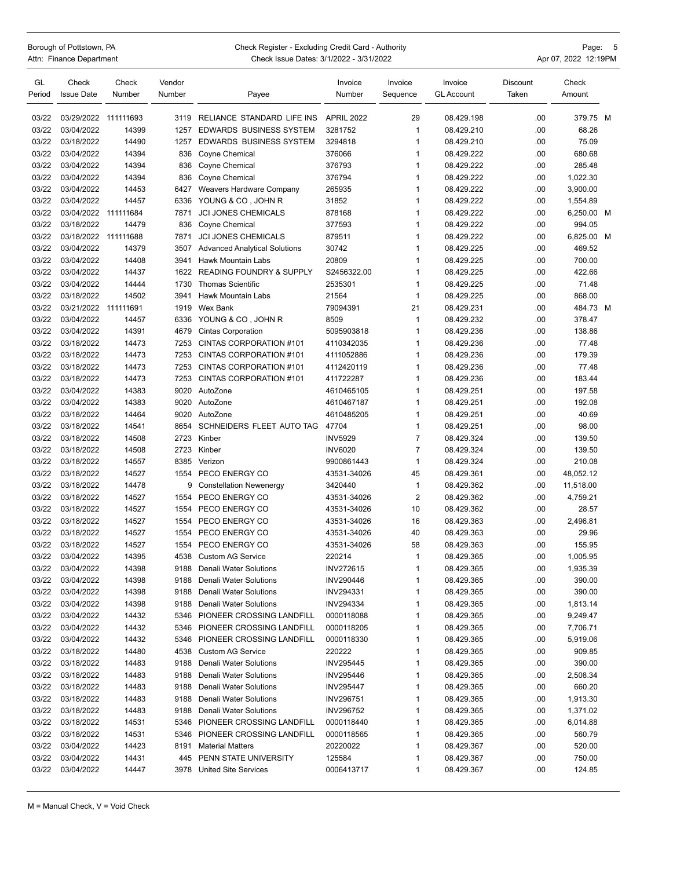| rough of Pottstown, PA |  |
|------------------------|--|
| n: Finance Denartment  |  |

## Borough of Pottstown, PA **Check Register - Excluding Credit Card** - Authority **CHO** Page: 5 Attn: Finance Department **Check Issue Dates: 3/1/2022 - 3/31/2022** Apr 07, 2022 12:19PM

| GL<br>Period   | Check<br><b>Issue Date</b> | Check<br>Number | Vendor<br>Number | Payee                                | Invoice<br>Number             | Invoice<br>Sequence | Invoice<br><b>GL Account</b> | Discount<br>Taken | Check<br>Amount    |  |
|----------------|----------------------------|-----------------|------------------|--------------------------------------|-------------------------------|---------------------|------------------------------|-------------------|--------------------|--|
| 03/22          | 03/29/2022                 | 111111693       | 3119             | RELIANCE STANDARD LIFE INS           | <b>APRIL 2022</b>             | 29                  | 08.429.198                   | .00               | 379.75 M           |  |
| 03/22          | 03/04/2022                 | 14399           | 1257             | <b>EDWARDS BUSINESS SYSTEM</b>       | 3281752                       | $\mathbf{1}$        | 08.429.210                   | .00               | 68.26              |  |
| 03/22          | 03/18/2022                 | 14490           | 1257             | EDWARDS BUSINESS SYSTEM              | 3294818                       | $\mathbf{1}$        | 08.429.210                   | .00               | 75.09              |  |
| 03/22          | 03/04/2022                 | 14394           | 836              | Coyne Chemical                       | 376066                        | $\mathbf{1}$        | 08.429.222                   | .00               | 680.68             |  |
| 03/22          | 03/04/2022                 | 14394           | 836              | Coyne Chemical                       | 376793                        | $\mathbf{1}$        | 08.429.222                   | .00               | 285.48             |  |
| 03/22          | 03/04/2022                 | 14394           | 836              | Coyne Chemical                       | 376794                        | $\mathbf{1}$        | 08.429.222                   | .00               | 1,022.30           |  |
| 03/22          | 03/04/2022                 | 14453           | 6427             | Weavers Hardware Company             | 265935                        | $\mathbf{1}$        | 08.429.222                   | .00               | 3,900.00           |  |
| 03/22          | 03/04/2022                 | 14457           | 6336             | YOUNG & CO, JOHN R                   | 31852                         | $\mathbf{1}$        | 08.429.222                   | .00               | 1,554.89           |  |
| 03/22          | 03/04/2022 111111684       |                 | 7871             | <b>JCI JONES CHEMICALS</b>           | 878168                        | $\mathbf{1}$        | 08.429.222                   | .00               | 6,250.00 M         |  |
| 03/22          | 03/18/2022                 | 14479           | 836              | Coyne Chemical                       | 377593                        | $\mathbf{1}$        | 08.429.222                   | .00               | 994.05             |  |
| 03/22          | 03/18/2022                 | 111111688       | 7871             | <b>JCI JONES CHEMICALS</b>           | 879511                        | $\mathbf{1}$        | 08.429.222                   | .00               | 6,825.00 M         |  |
| 03/22          | 03/04/2022                 | 14379           | 3507             | <b>Advanced Analytical Solutions</b> | 30742                         | $\mathbf{1}$        | 08.429.225                   | .00               | 469.52             |  |
| 03/22          | 03/04/2022                 | 14408           | 3941             | Hawk Mountain Labs                   | 20809                         | $\mathbf{1}$        | 08.429.225                   | .00               | 700.00             |  |
| 03/22          | 03/04/2022                 | 14437           | 1622             | <b>READING FOUNDRY &amp; SUPPLY</b>  | S2456322.00                   | $\mathbf{1}$        | 08.429.225                   | .00               | 422.66             |  |
| 03/22          | 03/04/2022                 | 14444           | 1730             | <b>Thomas Scientific</b>             | 2535301                       | $\mathbf{1}$        | 08.429.225                   | .00               | 71.48              |  |
| 03/22          | 03/18/2022                 | 14502           | 3941             | Hawk Mountain Labs                   | 21564                         | $\mathbf{1}$        | 08.429.225                   | .00               | 868.00             |  |
| 03/22          | 03/21/2022 111111691       |                 | 1919             | Wex Bank                             | 79094391                      | 21                  | 08.429.231                   | .00               | 484.73 M           |  |
| 03/22          | 03/04/2022                 | 14457           | 6336             | YOUNG & CO, JOHN R                   | 8509                          | $\mathbf{1}$        | 08.429.232                   | .00               | 378.47             |  |
| 03/22          | 03/04/2022                 | 14391           | 4679             | <b>Cintas Corporation</b>            | 5095903818                    | $\mathbf{1}$        | 08.429.236                   | .00               | 138.86             |  |
| 03/22          | 03/18/2022                 | 14473           | 7253             | CINTAS CORPORATION #101              | 4110342035                    | $\mathbf{1}$        | 08.429.236                   | .00               | 77.48              |  |
| 03/22          | 03/18/2022                 | 14473           | 7253             | CINTAS CORPORATION #101              | 4111052886                    | $\mathbf{1}$        | 08.429.236                   | .00               | 179.39             |  |
| 03/22          | 03/18/2022                 | 14473           | 7253             | CINTAS CORPORATION #101              | 4112420119                    | $\mathbf{1}$        | 08.429.236                   | .00               | 77.48              |  |
| 03/22          | 03/18/2022                 | 14473           | 7253             | CINTAS CORPORATION #101              | 411722287                     | $\mathbf{1}$        | 08.429.236                   | .00               | 183.44             |  |
| 03/22          | 03/04/2022                 | 14383           | 9020             | AutoZone                             | 4610465105                    | $\mathbf{1}$        | 08.429.251                   | .00               | 197.58             |  |
| 03/22          | 03/04/2022                 | 14383           | 9020             | AutoZone                             | 4610467187                    | $\mathbf{1}$        | 08.429.251                   | .00               | 192.08             |  |
| 03/22          | 03/18/2022                 | 14464           | 9020             | AutoZone                             | 4610485205                    | $\mathbf{1}$        | 08.429.251                   | .00               | 40.69              |  |
| 03/22          | 03/18/2022                 | 14541           | 8654             | SCHNEIDERS FLEET AUTO TAG            | 47704                         | $\mathbf{1}$        | 08.429.251                   | .00               | 98.00              |  |
| 03/22          | 03/18/2022                 | 14508           | 2723             | Kinber                               | <b>INV5929</b>                | $\overline{7}$      | 08.429.324                   | .00               | 139.50             |  |
| 03/22          | 03/18/2022                 | 14508           | 2723             | Kinber                               | <b>INV6020</b>                | $\overline{7}$      | 08.429.324                   | .00               | 139.50             |  |
| 03/22          | 03/18/2022                 | 14557           | 8385             | Verizon                              | 9900861443                    | $\mathbf{1}$        | 08.429.324                   | .00               | 210.08             |  |
| 03/22          | 03/18/2022                 | 14527           | 1554             | PECO ENERGY CO                       | 43531-34026                   | 45                  | 08.429.361                   | .00               | 48,052.12          |  |
| 03/22          | 03/18/2022                 | 14478           | 9                | <b>Constellation Newenergy</b>       | 3420440                       | $\mathbf{1}$        | 08.429.362                   | .00               | 11,518.00          |  |
| 03/22          | 03/18/2022                 | 14527           | 1554             | PECO ENERGY CO                       | 43531-34026                   | $\overline{2}$      | 08.429.362                   | .00               | 4,759.21           |  |
| 03/22<br>03/22 | 03/18/2022                 | 14527           | 1554<br>1554     | PECO ENERGY CO<br>PECO ENERGY CO     | 43531-34026<br>43531-34026    | 10<br>16            | 08.429.362                   | .00<br>.00        | 28.57<br>2,496.81  |  |
| 03/22          | 03/18/2022<br>03/18/2022   | 14527<br>14527  | 1554             | PECO ENERGY CO                       | 43531-34026                   | 40                  | 08.429.363<br>08.429.363     | .00               |                    |  |
| 03/22          | 03/18/2022                 | 14527           | 1554             | PECO ENERGY CO                       | 43531-34026                   | 58                  | 08.429.363                   | .00               | 29.96<br>155.95    |  |
| 03/22          | 03/04/2022                 | 14395           | 4538             | <b>Custom AG Service</b>             | 220214                        | $\mathbf{1}$        | 08.429.365                   | .00               | 1,005.95           |  |
|                | 03/04/2022                 | 14398           | 9188             | Denali Water Solutions               |                               | 1                   |                              |                   |                    |  |
| 03/22<br>03/22 | 03/04/2022                 | 14398           | 9188             | <b>Denali Water Solutions</b>        | INV272615<br><b>INV290446</b> | $\mathbf{1}$        | 08.429.365<br>08.429.365     | .00<br>.00        | 1,935.39<br>390.00 |  |
| 03/22          | 03/04/2022                 | 14398           | 9188             | <b>Denali Water Solutions</b>        | INV294331                     | 1                   | 08.429.365                   | .00               | 390.00             |  |
| 03/22          | 03/04/2022                 | 14398           | 9188             | Denali Water Solutions               | INV294334                     | 1                   | 08.429.365                   | .00               | 1,813.14           |  |
| 03/22          | 03/04/2022                 | 14432           | 5346             | PIONEER CROSSING LANDFILL            | 0000118088                    | 1                   | 08.429.365                   | .00               | 9,249.47           |  |
| 03/22          | 03/04/2022                 | 14432           | 5346             | PIONEER CROSSING LANDFILL            | 0000118205                    | 1                   | 08.429.365                   | .00               | 7,706.71           |  |
| 03/22          | 03/04/2022                 | 14432           | 5346             | PIONEER CROSSING LANDFILL            | 0000118330                    | $\mathbf{1}$        | 08.429.365                   | .00               | 5,919.06           |  |
| 03/22          | 03/18/2022                 | 14480           | 4538             | <b>Custom AG Service</b>             | 220222                        | $\mathbf{1}$        | 08.429.365                   | .00               | 909.85             |  |
| 03/22          | 03/18/2022                 | 14483           | 9188             | Denali Water Solutions               | INV295445                     | $\mathbf{1}$        | 08.429.365                   | .00               | 390.00             |  |
| 03/22          | 03/18/2022                 | 14483           | 9188             | Denali Water Solutions               | INV295446                     | $\mathbf{1}$        | 08.429.365                   | .00               | 2,508.34           |  |
| 03/22          | 03/18/2022                 | 14483           | 9188             | Denali Water Solutions               | <b>INV295447</b>              | $\mathbf{1}$        | 08.429.365                   | .00               | 660.20             |  |
| 03/22          | 03/18/2022                 | 14483           | 9188             | Denali Water Solutions               | INV296751                     | 1                   | 08.429.365                   | .00               | 1,913.30           |  |
| 03/22          | 03/18/2022                 | 14483           | 9188             | Denali Water Solutions               | INV296752                     | 1                   | 08.429.365                   | .00               | 1,371.02           |  |
| 03/22          | 03/18/2022                 | 14531           | 5346             | PIONEER CROSSING LANDFILL            | 0000118440                    | 1                   | 08.429.365                   | .00               | 6,014.88           |  |
| 03/22          | 03/18/2022                 | 14531           | 5346             | PIONEER CROSSING LANDFILL            | 0000118565                    | $\mathbf{1}$        | 08.429.365                   | .00               | 560.79             |  |
| 03/22          | 03/04/2022                 | 14423           | 8191             | <b>Material Matters</b>              | 20220022                      | $\mathbf{1}$        | 08.429.367                   | .00               | 520.00             |  |
| 03/22          | 03/04/2022                 | 14431           | 445              | PENN STATE UNIVERSITY                | 125584                        | $\mathbf{1}$        | 08.429.367                   | .00               | 750.00             |  |
| 03/22          | 03/04/2022                 | 14447           | 3978             | <b>United Site Services</b>          | 0006413717                    | $\mathbf{1}$        | 08.429.367                   | .00               | 124.85             |  |
|                |                            |                 |                  |                                      |                               |                     |                              |                   |                    |  |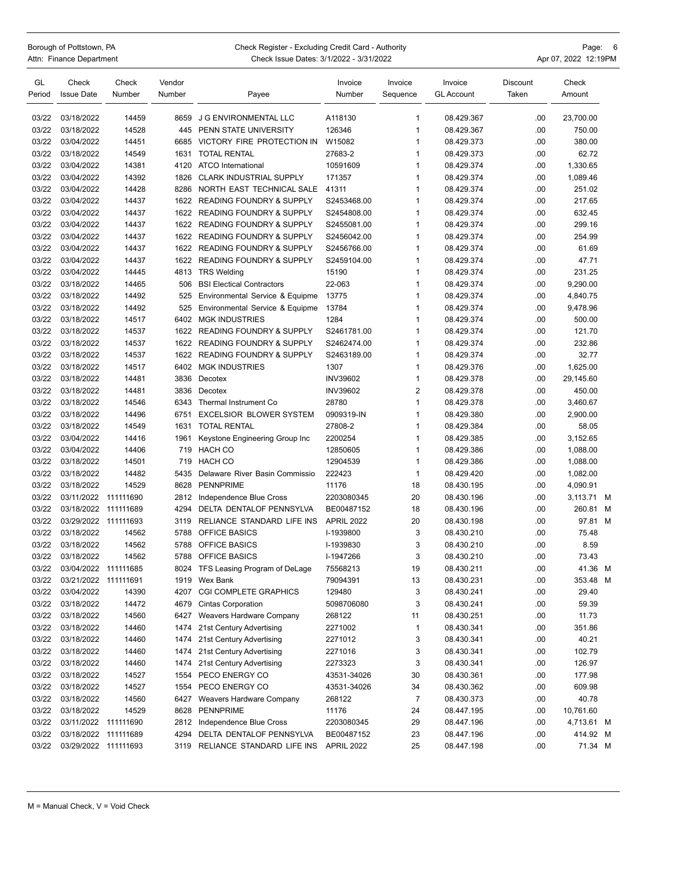## Borough of Pottstown, PA **Check Register - Excluding Credit Card** - Authority **CHO** Page: 6 Attn: Finance Department **Check Issue Dates: 3/1/2022 - 3/31/2022** Apr 07, 2022 12:19PM

| GL<br>Period   | Check<br><b>Issue Date</b> | Check<br>Number | Vendor<br>Number | Payee                               | Invoice<br>Number  | Invoice<br>Sequence | Invoice<br><b>GL Account</b> | Discount<br>Taken | Check<br>Amount      |  |
|----------------|----------------------------|-----------------|------------------|-------------------------------------|--------------------|---------------------|------------------------------|-------------------|----------------------|--|
| 03/22          | 03/18/2022                 | 14459           | 8659             | J G ENVIRONMENTAL LLC               | A118130            | 1                   | 08.429.367                   | .00               | 23,700.00            |  |
| 03/22          | 03/18/2022                 | 14528           | 445              | PENN STATE UNIVERSITY               | 126346             | 1                   | 08.429.367                   | .00               | 750.00               |  |
| 03/22          | 03/04/2022                 | 14451           | 6685             | VICTORY FIRE PROTECTION IN          | W15082             | 1                   | 08.429.373                   | .00               | 380.00               |  |
| 03/22          | 03/18/2022                 | 14549           | 1631             | <b>TOTAL RENTAL</b>                 | 27683-2            | 1                   | 08.429.373                   | .00               | 62.72                |  |
| 03/22          | 03/04/2022                 | 14381           | 4120             | <b>ATCO</b> International           | 10591609           | 1                   | 08.429.374                   | .00               | 1,330.65             |  |
| 03/22          | 03/04/2022                 | 14392           | 1826             | <b>CLARK INDUSTRIAL SUPPLY</b>      | 171357             | 1                   | 08.429.374                   | .00               | 1,089.46             |  |
| 03/22          | 03/04/2022                 | 14428           | 8286             | NORTH EAST TECHNICAL SALE           | 41311              | 1                   | 08.429.374                   | .00               | 251.02               |  |
| 03/22          | 03/04/2022                 | 14437           | 1622             | <b>READING FOUNDRY &amp; SUPPLY</b> | S2453468.00        | 1                   | 08.429.374                   | .00               | 217.65               |  |
| 03/22          | 03/04/2022                 | 14437           | 1622             | <b>READING FOUNDRY &amp; SUPPLY</b> | S2454808.00        | 1                   | 08.429.374                   | .00               | 632.45               |  |
| 03/22          | 03/04/2022                 | 14437           | 1622             | <b>READING FOUNDRY &amp; SUPPLY</b> | S2455081.00        | 1                   | 08.429.374                   | .00               | 299.16               |  |
| 03/22          | 03/04/2022                 | 14437           | 1622             | <b>READING FOUNDRY &amp; SUPPLY</b> | S2456042.00        | 1                   | 08.429.374                   | .00               | 254.99               |  |
| 03/22          | 03/04/2022                 | 14437           | 1622             | <b>READING FOUNDRY &amp; SUPPLY</b> | S2456766.00        | 1                   | 08.429.374                   | .00               | 61.69                |  |
| 03/22          | 03/04/2022                 | 14437           | 1622             | <b>READING FOUNDRY &amp; SUPPLY</b> | S2459104.00        | 1                   | 08.429.374                   | .00               | 47.71                |  |
| 03/22          | 03/04/2022                 | 14445           | 4813             | <b>TRS Welding</b>                  | 15190              | 1                   | 08.429.374                   | .00               | 231.25               |  |
| 03/22          | 03/18/2022                 | 14465           | 506              | <b>BSI Electical Contractors</b>    | 22-063             | 1                   | 08.429.374                   | .00               | 9,290.00             |  |
| 03/22          | 03/18/2022                 | 14492           | 525              | Environmental Service & Equipme     | 13775              | 1                   | 08.429.374                   | .00               | 4,840.75             |  |
| 03/22          | 03/18/2022                 | 14492           | 525              | Environmental Service & Equipme     | 13784              | 1                   | 08.429.374                   | .00               | 9,478.96             |  |
| 03/22          | 03/18/2022                 | 14517           | 6402             | <b>MGK INDUSTRIES</b>               | 1284               | 1                   | 08.429.374                   | .00               | 500.00               |  |
| 03/22          | 03/18/2022                 | 14537           | 1622             | <b>READING FOUNDRY &amp; SUPPLY</b> | S2461781.00        | 1                   | 08.429.374                   | .00               | 121.70               |  |
| 03/22          | 03/18/2022                 | 14537           | 1622             | <b>READING FOUNDRY &amp; SUPPLY</b> | S2462474.00        | 1                   | 08.429.374                   | .00               | 232.86               |  |
| 03/22          | 03/18/2022                 | 14537           | 1622             | <b>READING FOUNDRY &amp; SUPPLY</b> | S2463189.00        | 1                   | 08.429.374                   | .00               | 32.77                |  |
| 03/22          | 03/18/2022                 | 14517           | 6402             | <b>MGK INDUSTRIES</b>               | 1307               | 1                   | 08.429.376                   | .00               | 1,625.00             |  |
| 03/22          | 03/18/2022                 | 14481           | 3836             | Decotex                             | <b>INV39602</b>    | 1                   | 08.429.378                   | .00               | 29,145.60            |  |
| 03/22          | 03/18/2022                 | 14481           | 3836             | Decotex                             | <b>INV39602</b>    | $\overline{2}$      | 08.429.378                   | .00               | 450.00               |  |
| 03/22          | 03/18/2022                 | 14546           | 6343             | Thermal Instrument Co               | 28780              | 1                   | 08.429.378                   | .00               | 3,460.67             |  |
| 03/22          | 03/18/2022                 | 14496           | 6751             | <b>EXCELSIOR BLOWER SYSTEM</b>      | 0909319-IN         | 1                   | 08.429.380                   | .00               | 2,900.00             |  |
| 03/22          | 03/18/2022                 | 14549           | 1631             | <b>TOTAL RENTAL</b>                 | 27808-2            | 1                   | 08.429.384                   | .00               | 58.05                |  |
| 03/22          | 03/04/2022                 | 14416           | 1961             | Keystone Engineering Group Inc      | 2200254            | 1                   | 08.429.385                   | .00               | 3,152.65             |  |
| 03/22          | 03/04/2022                 | 14406           | 719              | <b>HACH CO</b><br><b>HACH CO</b>    | 12850605           | 1                   | 08.429.386                   | .00               | 1,088.00             |  |
| 03/22<br>03/22 | 03/18/2022<br>03/18/2022   | 14501<br>14482  | 719<br>5435      | Delaware River Basin Commissio      | 12904539<br>222423 | 1<br>1              | 08.429.386<br>08.429.420     | .00<br>.00        | 1,088.00<br>1,082.00 |  |
| 03/22          | 03/18/2022                 | 14529           | 8628             | <b>PENNPRIME</b>                    | 11176              | 18                  | 08.430.195                   | .00               | 4,090.91             |  |
| 03/22          | 03/11/2022                 | 111111690       | 2812             | Independence Blue Cross             | 2203080345         | 20                  | 08.430.196                   | .00               | 3,113.71 M           |  |
| 03/22          | 03/18/2022                 | 111111689       | 4294             | DELTA DENTALOF PENNSYLVA            | BE00487152         | 18                  | 08.430.196                   | .00               | 260.81 M             |  |
| 03/22          | 03/29/2022                 | 111111693       | 3119             | RELIANCE STANDARD LIFE INS          | <b>APRIL 2022</b>  | 20                  | 08.430.198                   | .00               | 97.81 M              |  |
| 03/22          | 03/18/2022                 | 14562           | 5788             | OFFICE BASICS                       | I-1939800          | 3                   | 08.430.210                   | .00               | 75.48                |  |
| 03/22          | 03/18/2022                 | 14562           | 5788             | OFFICE BASICS                       | I-1939830          | 3                   | 08.430.210                   | .00               | 8.59                 |  |
| 03/22          | 03/18/2022                 | 14562           | 5788             | OFFICE BASICS                       | I-1947266          | 3                   | 08.430.210                   | .00               | 73.43                |  |
| 03/22          | 03/04/2022 111111685       |                 |                  | 8024 TFS Leasing Program of DeLage  | 75568213           | 19                  | 08.430.211                   | .00               | 41.36 M              |  |
| 03/22          | 03/21/2022 111111691       |                 | 1919             | Wex Bank                            | 79094391           | 13                  | 08.430.231                   | .00               | 353.48 M             |  |
| 03/22          | 03/04/2022                 | 14390           | 4207             | CGI COMPLETE GRAPHICS               | 129480             | 3                   | 08.430.241                   | .00               | 29.40                |  |
| 03/22          | 03/18/2022                 | 14472           | 4679             | <b>Cintas Corporation</b>           | 5098706080         | 3                   | 08.430.241                   | .00               | 59.39                |  |
| 03/22          | 03/18/2022                 | 14560           | 6427             | Weavers Hardware Company            | 268122             | 11                  | 08.430.251                   | .00               | 11.73                |  |
| 03/22          | 03/18/2022                 | 14460           | 1474             | 21st Century Advertising            | 2271002            | 1                   | 08.430.341                   | .00               | 351.86               |  |
| 03/22          | 03/18/2022                 | 14460           |                  | 1474 21st Century Advertising       | 2271012            | 3                   | 08.430.341                   | .00               | 40.21                |  |
| 03/22          | 03/18/2022                 | 14460           |                  | 1474 21st Century Advertising       | 2271016            | 3                   | 08.430.341                   | .00               | 102.79               |  |
| 03/22          | 03/18/2022                 | 14460           |                  | 1474 21st Century Advertising       | 2273323            | 3                   | 08.430.341                   | .00               | 126.97               |  |
| 03/22          | 03/18/2022                 | 14527           |                  | 1554 PECO ENERGY CO                 | 43531-34026        | 30                  | 08.430.361                   | .00               | 177.98               |  |
| 03/22          | 03/18/2022                 | 14527           |                  | 1554 PECO ENERGY CO                 | 43531-34026        | 34                  | 08.430.362                   | .00               | 609.98               |  |
| 03/22          | 03/18/2022                 | 14560           | 6427             | Weavers Hardware Company            | 268122             | 7                   | 08.430.373                   | .00               | 40.78                |  |
| 03/22          | 03/18/2022                 | 14529           | 8628             | PENNPRIME                           | 11176              | 24                  | 08.447.195                   | .00               | 10,761.60            |  |
| 03/22          | 03/11/2022 111111690       |                 | 2812             | Independence Blue Cross             | 2203080345         | 29                  | 08.447.196                   | .00               | 4,713.61 M           |  |
| 03/22          | 03/18/2022 111111689       |                 | 4294             | DELTA DENTALOF PENNSYLVA            | BE00487152         | 23                  | 08.447.196                   | .00               | 414.92 M             |  |
| 03/22          | 03/29/2022 111111693       |                 | 3119             | RELIANCE STANDARD LIFE INS          | APRIL 2022         | 25                  | 08.447.198                   | .00               | 71.34 M              |  |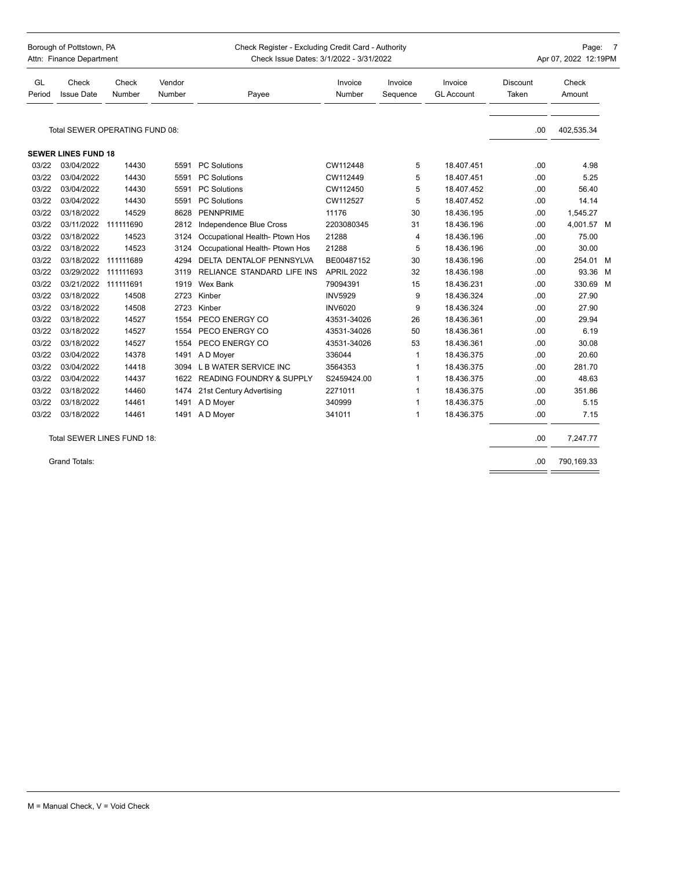| Borough of Pottstown, PA<br>Attn: Finance Department |                            |                                | Check Register - Excluding Credit Card - Authority<br>Check Issue Dates: 3/1/2022 - 3/31/2022 |                                     |                   |                     |                              |                          | Page: 7<br>Apr 07, 2022 12:19PM |  |  |
|------------------------------------------------------|----------------------------|--------------------------------|-----------------------------------------------------------------------------------------------|-------------------------------------|-------------------|---------------------|------------------------------|--------------------------|---------------------------------|--|--|
| GL<br>Period                                         | Check<br><b>Issue Date</b> | Check<br>Number                | Vendor<br>Number                                                                              | Payee                               | Invoice<br>Number | Invoice<br>Sequence | Invoice<br><b>GL Account</b> | <b>Discount</b><br>Taken | Check<br>Amount                 |  |  |
|                                                      |                            | Total SEWER OPERATING FUND 08: |                                                                                               |                                     |                   |                     |                              | .00                      | 402,535.34                      |  |  |
|                                                      | <b>SEWER LINES FUND 18</b> |                                |                                                                                               |                                     |                   |                     |                              |                          |                                 |  |  |
| 03/22                                                | 03/04/2022                 | 14430                          | 5591                                                                                          | <b>PC Solutions</b>                 | CW112448          | 5                   | 18.407.451                   | .00                      | 4.98                            |  |  |
| 03/22                                                | 03/04/2022                 | 14430                          | 5591                                                                                          | <b>PC Solutions</b>                 | CW112449          | 5                   | 18.407.451                   | .00                      | 5.25                            |  |  |
| 03/22                                                | 03/04/2022                 | 14430                          | 5591                                                                                          | <b>PC Solutions</b>                 | CW112450          | 5                   | 18.407.452                   | .00                      | 56.40                           |  |  |
| 03/22                                                | 03/04/2022                 | 14430                          | 5591                                                                                          | <b>PC Solutions</b>                 | CW112527          | 5                   | 18.407.452                   | .00                      | 14.14                           |  |  |
| 03/22                                                | 03/18/2022                 | 14529                          | 8628                                                                                          | <b>PENNPRIME</b>                    | 11176             | 30                  | 18.436.195                   | .00                      | 1.545.27                        |  |  |
| 03/22                                                | 03/11/2022                 | 111111690                      | 2812                                                                                          | Independence Blue Cross             | 2203080345        | 31                  | 18.436.196                   | .00                      | 4,001.57 M                      |  |  |
| 03/22                                                | 03/18/2022                 | 14523                          | 3124                                                                                          | Occupational Health- Ptown Hos      | 21288             | 4                   | 18.436.196                   | .00                      | 75.00                           |  |  |
| 03/22                                                | 03/18/2022                 | 14523                          | 3124                                                                                          | Occupational Health- Ptown Hos      | 21288             | 5                   | 18.436.196                   | .00                      | 30.00                           |  |  |
| 03/22                                                | 03/18/2022                 | 111111689                      | 4294                                                                                          | DELTA DENTALOF PENNSYLVA            | BE00487152        | 30                  | 18.436.196                   | .00                      | 254.01 M                        |  |  |
| 03/22                                                | 03/29/2022                 | 111111693                      | 3119                                                                                          | RELIANCE STANDARD LIFE INS          | <b>APRIL 2022</b> | 32                  | 18.436.198                   | .00                      | 93.36 M                         |  |  |
| 03/22                                                | 03/21/2022 111111691       |                                | 1919                                                                                          | <b>Wex Bank</b>                     | 79094391          | 15                  | 18.436.231                   | .00                      | 330.69 M                        |  |  |
| 03/22                                                | 03/18/2022                 | 14508                          | 2723                                                                                          | Kinber                              | <b>INV5929</b>    | 9                   | 18.436.324                   | .00                      | 27.90                           |  |  |
| 03/22                                                | 03/18/2022                 | 14508                          | 2723                                                                                          | Kinber                              | <b>INV6020</b>    | 9                   | 18.436.324                   | .00                      | 27.90                           |  |  |
| 03/22                                                | 03/18/2022                 | 14527                          | 1554                                                                                          | PECO ENERGY CO                      | 43531-34026       | 26                  | 18.436.361                   | .00                      | 29.94                           |  |  |
| 03/22                                                | 03/18/2022                 | 14527                          | 1554                                                                                          | PECO ENERGY CO                      | 43531-34026       | 50                  | 18.436.361                   | .00                      | 6.19                            |  |  |
| 03/22                                                | 03/18/2022                 | 14527                          | 1554                                                                                          | PECO ENERGY CO                      | 43531-34026       | 53                  | 18.436.361                   | .00                      | 30.08                           |  |  |
| 03/22                                                | 03/04/2022                 | 14378                          | 1491                                                                                          | A D Moyer                           | 336044            | $\mathbf{1}$        | 18.436.375                   | .00                      | 20.60                           |  |  |
| 03/22                                                | 03/04/2022                 | 14418                          | 3094                                                                                          | L B WATER SERVICE INC               | 3564353           | 1                   | 18.436.375                   | .00                      | 281.70                          |  |  |
| 03/22                                                | 03/04/2022                 | 14437                          | 1622                                                                                          | <b>READING FOUNDRY &amp; SUPPLY</b> | S2459424.00       | 1                   | 18.436.375                   | .00                      | 48.63                           |  |  |
| 03/22                                                | 03/18/2022                 | 14460                          | 1474                                                                                          | 21st Century Advertising            | 2271011           | 1                   | 18.436.375                   | .00                      | 351.86                          |  |  |
| 03/22                                                | 03/18/2022                 | 14461                          | 1491                                                                                          | A D Moyer                           | 340999            | 1                   | 18.436.375                   | .00                      | 5.15                            |  |  |
| 03/22                                                | 03/18/2022                 | 14461                          | 1491                                                                                          | A D Moyer                           | 341011            | $\mathbf{1}$        | 18.436.375                   | .00                      | 7.15                            |  |  |
|                                                      |                            | Total SEWER LINES FUND 18:     |                                                                                               |                                     |                   |                     |                              | .00.                     | 7,247.77                        |  |  |
|                                                      | <b>Grand Totals:</b>       |                                |                                                                                               |                                     |                   |                     |                              | .00                      | 790,169.33                      |  |  |